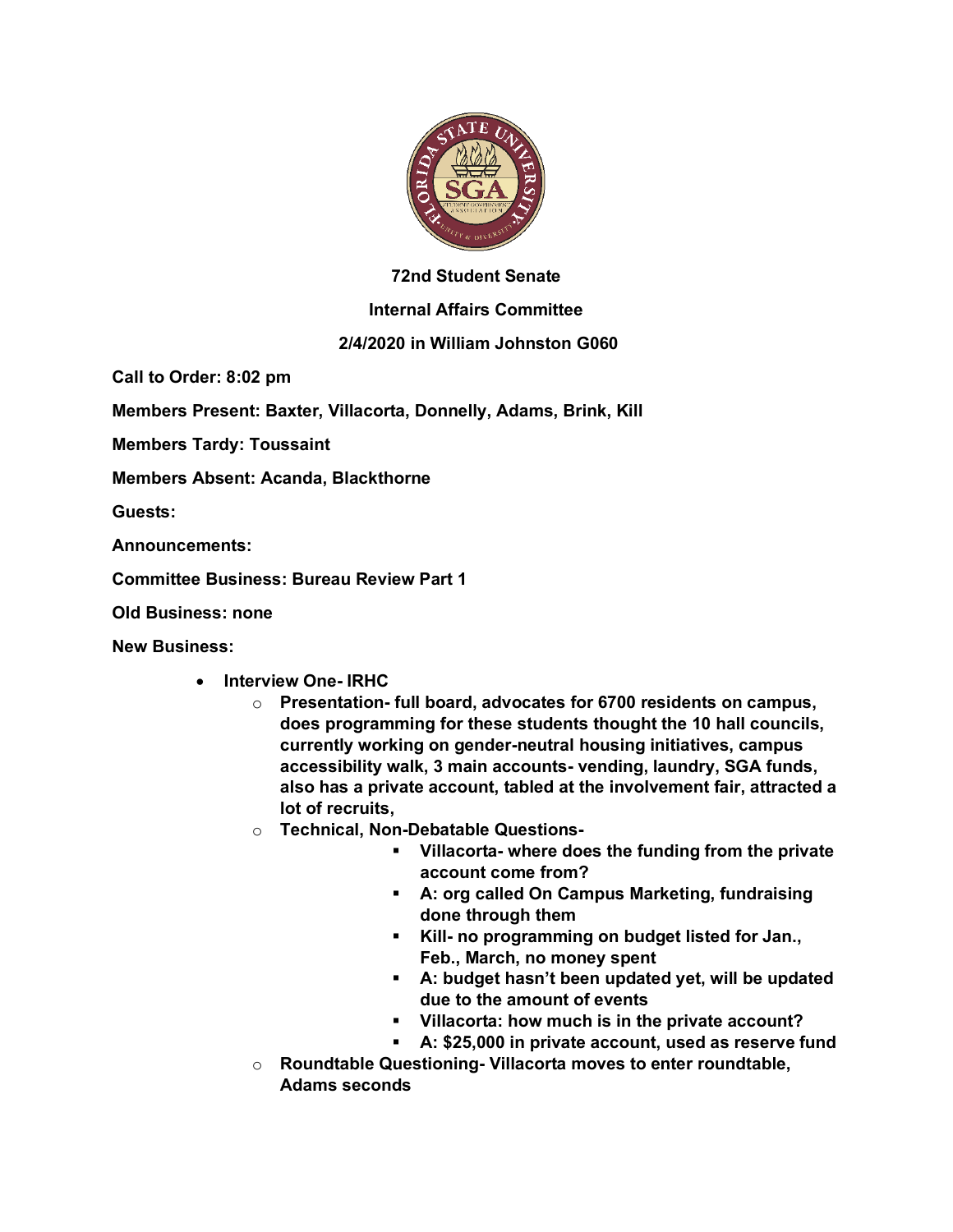

## **72nd Student Senate**

## **Internal Affairs Committee**

## **2/4/2020 in William Johnston G060**

**Call to Order: 8:02 pm**

**Members Present: Baxter, Villacorta, Donnelly, Adams, Brink, Kill**

**Members Tardy: Toussaint**

**Members Absent: Acanda, Blackthorne**

**Guests:** 

**Announcements:** 

**Committee Business: Bureau Review Part 1**

**Old Business: none**

**New Business:**

- **Interview One- IRHC** 
	- o **Presentation- full board, advocates for 6700 residents on campus, does programming for these students thought the 10 hall councils, currently working on gender-neutral housing initiatives, campus accessibility walk, 3 main accounts- vending, laundry, SGA funds, also has a private account, tabled at the involvement fair, attracted a lot of recruits,**
	- o **Technical, Non-Debatable Questions-**
		- § **Villacorta- where does the funding from the private account come from?**
		- § **A: org called On Campus Marketing, fundraising done through them**
		- § **Kill- no programming on budget listed for Jan., Feb., March, no money spent**
		- § **A: budget hasn't been updated yet, will be updated due to the amount of events**
		- § **Villacorta: how much is in the private account?**
		- § **A: \$25,000 in private account, used as reserve fund**
	- o **Roundtable Questioning- Villacorta moves to enter roundtable, Adams seconds**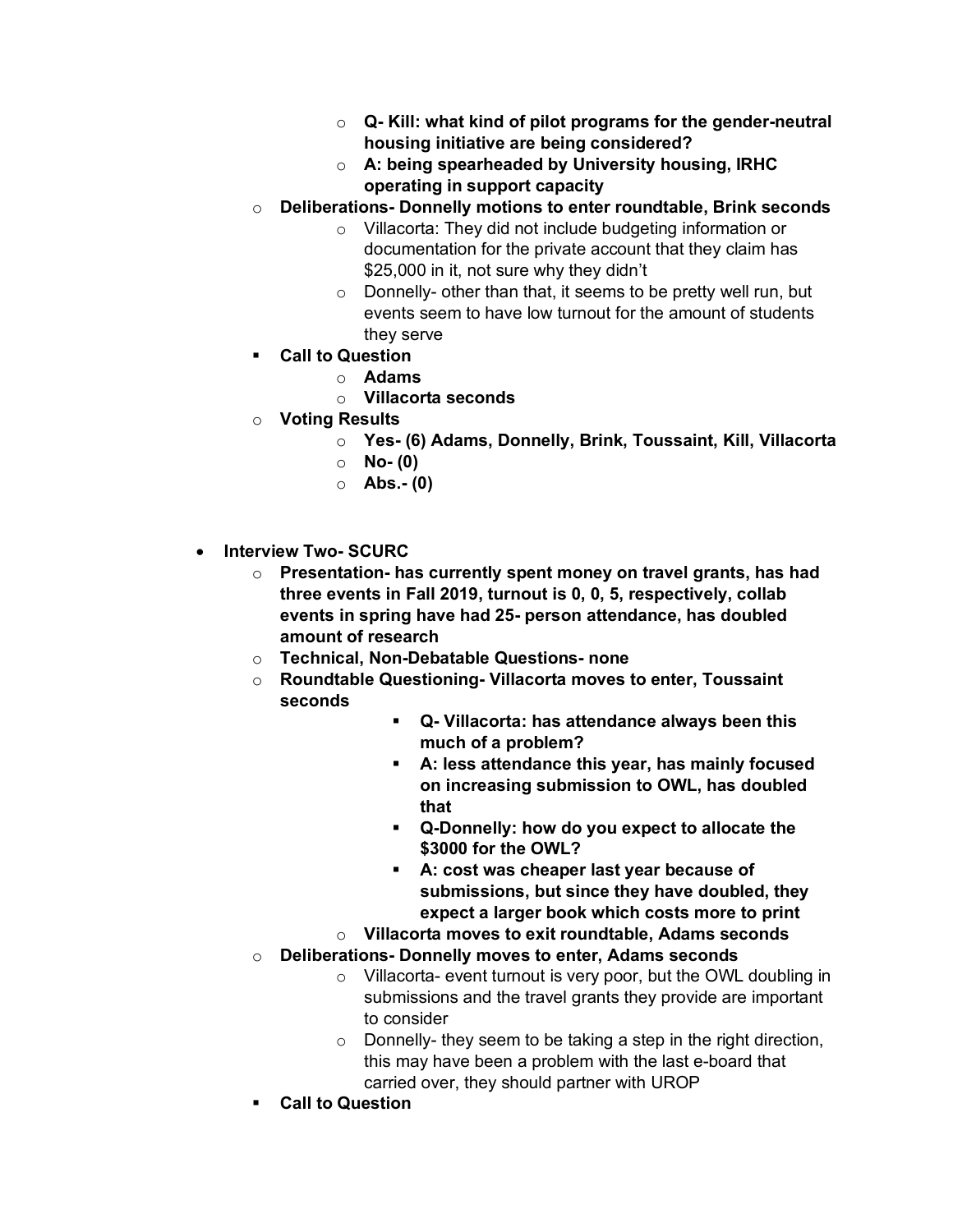- o **Q- Kill: what kind of pilot programs for the gender-neutral housing initiative are being considered?**
- o **A: being spearheaded by University housing, IRHC operating in support capacity**
- o **Deliberations- Donnelly motions to enter roundtable, Brink seconds**
	- o Villacorta: They did not include budgeting information or documentation for the private account that they claim has \$25,000 in it, not sure why they didn't
	- o Donnelly- other than that, it seems to be pretty well run, but events seem to have low turnout for the amount of students they serve
- § **Call to Question**
	- o **Adams**
	- o **Villacorta seconds**
- o **Voting Results**
	- o **Yes- (6) Adams, Donnelly, Brink, Toussaint, Kill, Villacorta**
	- o **No- (0)**
	- o **Abs.- (0)**
- **Interview Two- SCURC**
	- o **Presentation- has currently spent money on travel grants, has had three events in Fall 2019, turnout is 0, 0, 5, respectively, collab events in spring have had 25- person attendance, has doubled amount of research**
	- o **Technical, Non-Debatable Questions- none**
	- o **Roundtable Questioning- Villacorta moves to enter, Toussaint seconds**
		- § **Q- Villacorta: has attendance always been this much of a problem?**
		- § **A: less attendance this year, has mainly focused on increasing submission to OWL, has doubled that**
		- § **Q-Donnelly: how do you expect to allocate the \$3000 for the OWL?**
		- § **A: cost was cheaper last year because of submissions, but since they have doubled, they expect a larger book which costs more to print**
		- o **Villacorta moves to exit roundtable, Adams seconds**
	- o **Deliberations- Donnelly moves to enter, Adams seconds**
		- o Villacorta- event turnout is very poor, but the OWL doubling in submissions and the travel grants they provide are important to consider
		- $\circ$  Donnelly-they seem to be taking a step in the right direction, this may have been a problem with the last e-board that carried over, they should partner with UROP
	- § **Call to Question**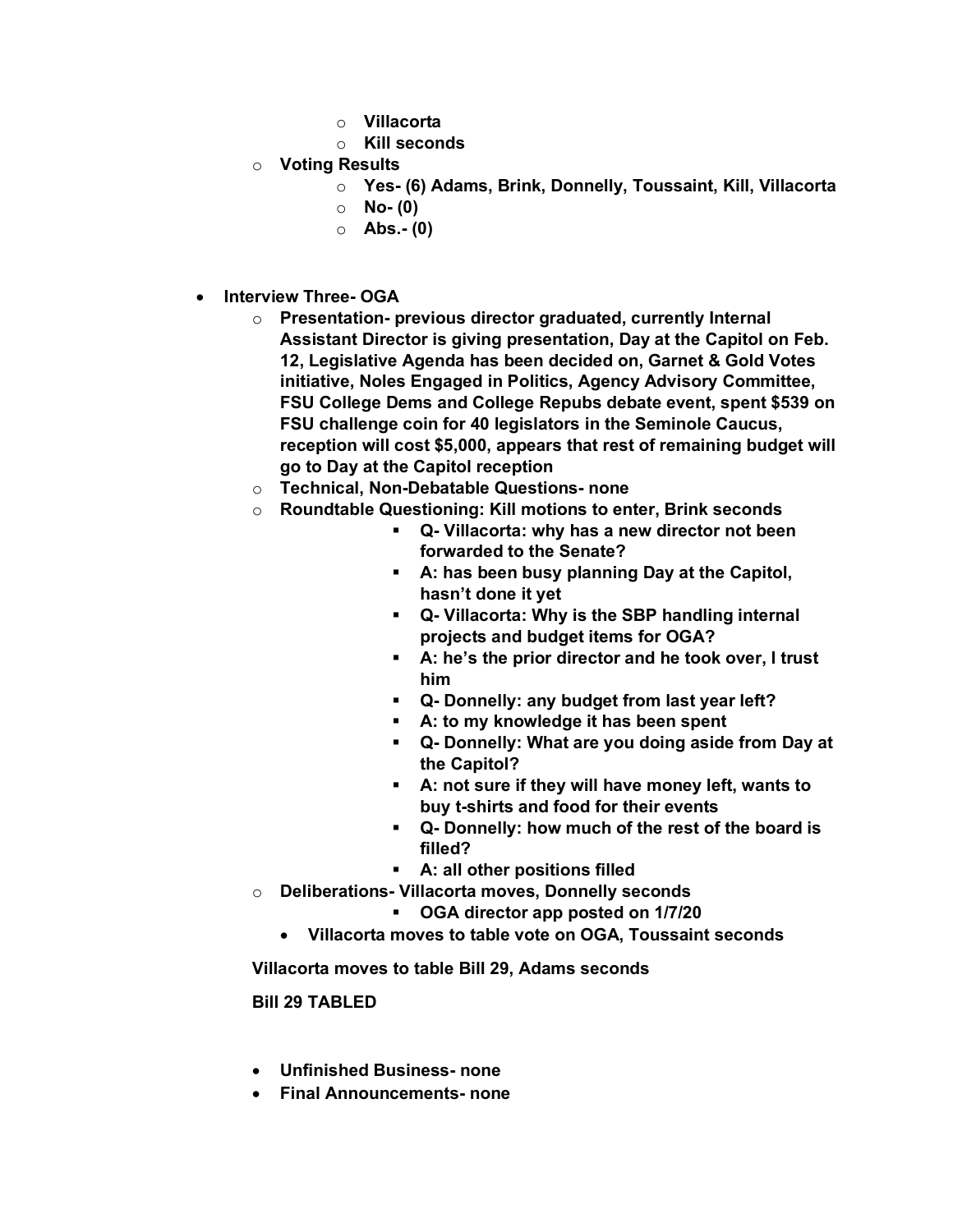- o **Villacorta**
- o **Kill seconds**
- o **Voting Results**
	- o **Yes- (6) Adams, Brink, Donnelly, Toussaint, Kill, Villacorta**
	- o **No- (0)**
	- o **Abs.- (0)**
- **Interview Three- OGA**
	- o **Presentation- previous director graduated, currently Internal Assistant Director is giving presentation, Day at the Capitol on Feb. 12, Legislative Agenda has been decided on, Garnet & Gold Votes initiative, Noles Engaged in Politics, Agency Advisory Committee, FSU College Dems and College Repubs debate event, spent \$539 on FSU challenge coin for 40 legislators in the Seminole Caucus, reception will cost \$5,000, appears that rest of remaining budget will go to Day at the Capitol reception**
	- o **Technical, Non-Debatable Questions- none**
	- o **Roundtable Questioning: Kill motions to enter, Brink seconds**
		- § **Q- Villacorta: why has a new director not been forwarded to the Senate?**
		- § **A: has been busy planning Day at the Capitol, hasn't done it yet**
		- § **Q- Villacorta: Why is the SBP handling internal projects and budget items for OGA?**
		- § **A: he's the prior director and he took over, I trust him**
		- § **Q- Donnelly: any budget from last year left?**
		- § **A: to my knowledge it has been spent**
		- § **Q- Donnelly: What are you doing aside from Day at the Capitol?**
		- § **A: not sure if they will have money left, wants to buy t-shirts and food for their events**
		- § **Q- Donnelly: how much of the rest of the board is filled?**
		- § **A: all other positions filled**
	- o **Deliberations- Villacorta moves, Donnelly seconds**
		- § **OGA director app posted on 1/7/20**
		- **Villacorta moves to table vote on OGA, Toussaint seconds**

**Villacorta moves to table Bill 29, Adams seconds**

**Bill 29 TABLED**

- **Unfinished Business- none**
- **Final Announcements- none**